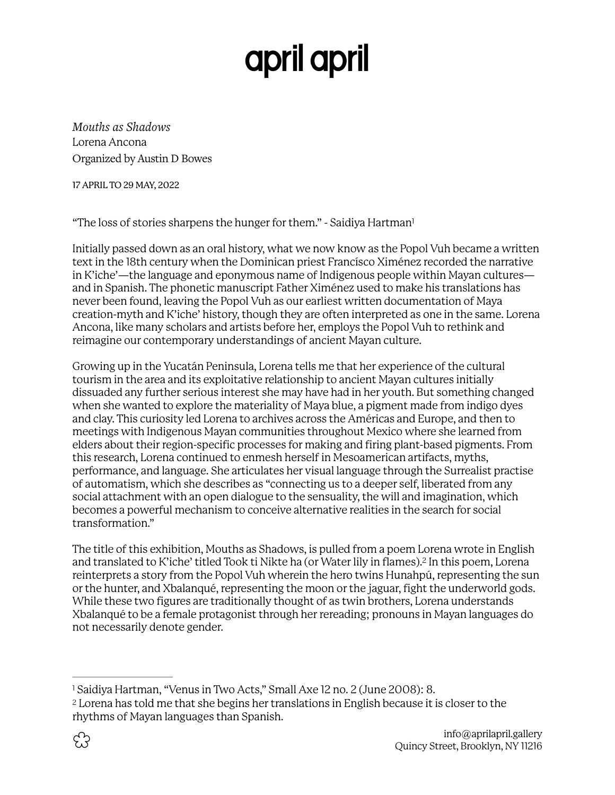## <span id="page-0-2"></span>april april

*Mouths as Shadows*  Lorena Ancona Organized by Austin D Bowes

17 APRIL TO 29 MAY, 2022

"The loss of stories sharpens the hunger for them." - Saidiya Hartman<sup>1</sup>

Initially passed down as an oral history, what we now know as the Popol Vuh became a written text in the 18th century when the Dominican priest Francísco Ximénez recorded the narrative in K'iche'—the language and eponymous name of Indigenous people within Mayan cultures and in Spanish. The phonetic manuscript Father Ximénez used to make his translations has never been found, leaving the Popol Vuh as our earliest written documentation of Maya creation-myth and K'iche' history, though they are often interpreted as one in the same. Lorena Ancona, like many scholars and artists before her, employs the Popol Vuh to rethink and reimagine our contemporary understandings of ancient Mayan culture.

Growing up in the Yucatán Peninsula, Lorena tells me that her experience of the cultural tourism in the area and its exploitative relationship to ancient Mayan cultures initially dissuaded any further serious interest she may have had in her youth. But something changed when she wanted to explore the materiality of Maya blue, a pigment made from indigo dyes and clay. This curiosity led Lorena to archives across the Américas and Europe, and then to meetings with Indigenous Mayan communities throughout Mexico where she learned from elders about their region-specific processes for making and firing plant-based pigments. From this research, Lorena continued to enmesh herself in Mesoamerican artifacts, myths, performance, and language. She articulates her visual language through the Surrealist practise of automatism, which she describes as "connecting us to a deeper self, liberated from any social attachment with an open dialogue to the sensuality, the will and imagination, which becomes a powerful mechanism to conceive alternative realities in the search for social transformation."

<span id="page-0-3"></span>The title of this exhibition, Mouths as Shadows, is pulled from a poem Lorena wrote in English andtranslated to K'iche' titled Took ti Nikte ha (or Water lily in flames).<sup>[2](#page-0-1)</sup> In this poem, Lorena reinterprets a story from the Popol Vuh wherein the hero twins Hunahpú, representing the sun or the hunter, and Xbalanqué, representing the moon or the jaguar, fight the underworld gods. While these two figures are traditionally thought of as twin brothers, Lorena understands Xbalanqué to be a female protagonist through her rereading; pronouns in Mayan languages do not necessarily denote gender.

<span id="page-0-0"></span><sup>&</sup>lt;sup>[1](#page-0-2)</sup> Saidiya Hartman, "Venus in Two Acts," Small Axe 12 no. 2 (June 2008): 8.

<span id="page-0-1"></span><sup>&</sup>lt;sup>[2](#page-0-3)</sup> Lorena has told me that she begins her translations in English because it is closer to the rhythms of Mayan languages than Spanish.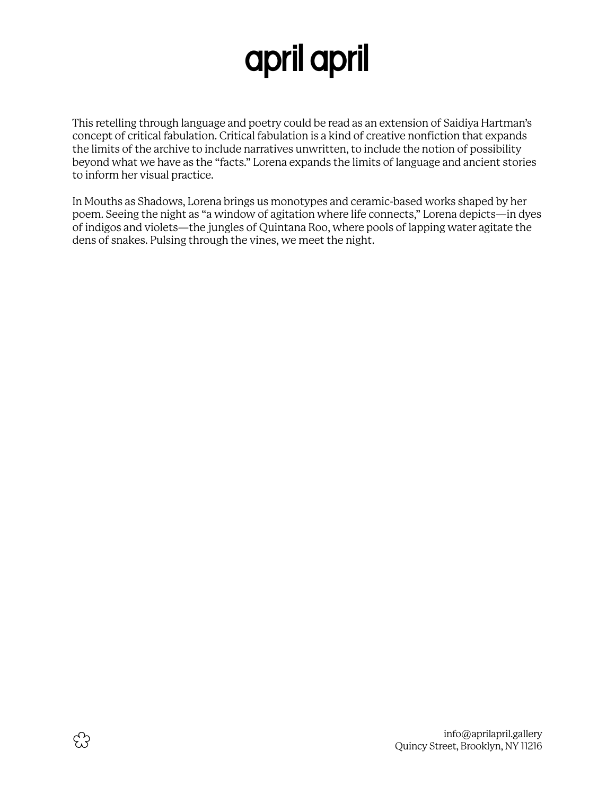## april april

This retelling through language and poetry could be read as an extension of Saidiya Hartman's concept of critical fabulation. Critical fabulation is a kind of creative nonfiction that expands the limits of the archive to include narratives unwritten, to include the notion of possibility beyond what we have as the "facts." Lorena expands the limits of language and ancient stories to inform her visual practice.

In Mouths as Shadows, Lorena brings us monotypes and ceramic-based works shaped by her poem. Seeing the night as "a window of agitation where life connects," Lorena depicts—in dyes of indigos and violets—the jungles of Quintana Roo, where pools of lapping water agitate the dens of snakes. Pulsing through the vines, we meet the night.